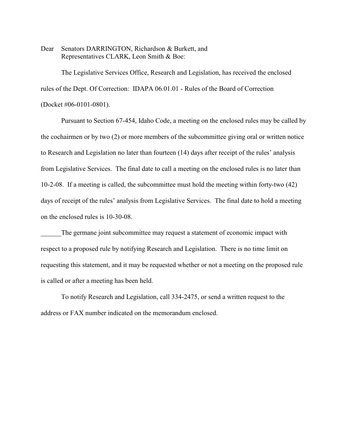Dear Senators DARRINGTON, Richardson & Burkett, and Representatives CLARK, Leon Smith & Boe:

The Legislative Services Office, Research and Legislation, has received the enclosed rules of the Dept. Of Correction: IDAPA 06.01.01 - Rules of the Board of Correction (Docket #06-0101-0801).

Pursuant to Section 67-454, Idaho Code, a meeting on the enclosed rules may be called by the cochairmen or by two (2) or more members of the subcommittee giving oral or written notice to Research and Legislation no later than fourteen (14) days after receipt of the rules' analysis from Legislative Services. The final date to call a meeting on the enclosed rules is no later than 10-2-08. If a meeting is called, the subcommittee must hold the meeting within forty-two (42) days of receipt of the rules' analysis from Legislative Services. The final date to hold a meeting on the enclosed rules is 10-30-08.

The germane joint subcommittee may request a statement of economic impact with respect to a proposed rule by notifying Research and Legislation. There is no time limit on requesting this statement, and it may be requested whether or not a meeting on the proposed rule is called or after a meeting has been held.

To notify Research and Legislation, call 334-2475, or send a written request to the address or FAX number indicated on the memorandum enclosed.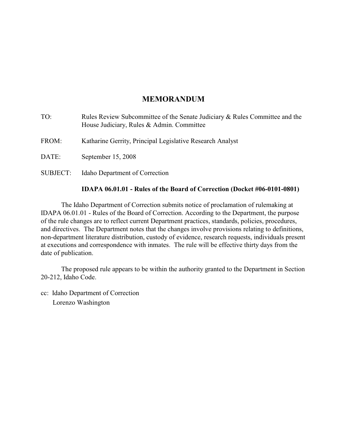# **MEMORANDUM**

| TO:             | Rules Review Subcommittee of the Senate Judiciary & Rules Committee and the<br>House Judiciary, Rules & Admin. Committee |
|-----------------|--------------------------------------------------------------------------------------------------------------------------|
| FROM:           | Katharine Gerrity, Principal Legislative Research Analyst                                                                |
| DATE:           | September 15, 2008                                                                                                       |
| <b>SUBJECT:</b> | Idaho Department of Correction                                                                                           |
|                 |                                                                                                                          |

## **IDAPA 06.01.01 - Rules of the Board of Correction (Docket #06-0101-0801)**

The Idaho Department of Correction submits notice of proclamation of rulemaking at IDAPA 06.01.01 - Rules of the Board of Correction. According to the Department, the purpose of the rule changes are to reflect current Department practices, standards, policies, procedures, and directives. The Department notes that the changes involve provisions relating to definitions, non-department literature distribution, custody of evidence, research requests, individuals present at executions and correspondence with inmates. The rule will be effective thirty days from the date of publication.

The proposed rule appears to be within the authority granted to the Department in Section 20-212, Idaho Code.

cc: Idaho Department of Correction

Lorenzo Washington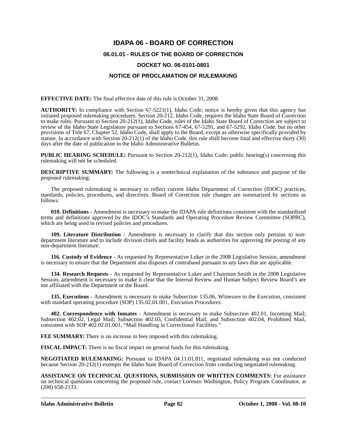# **IDAPA 06 - BOARD OF CORRECTION 06.01.01 - RULES OF THE BOARD OF CORRECTION DOCKET NO. 06-0101-0801 NOTICE OF PROCLAMATION OF RULEMAKING**

**EFFECTIVE DATE:** The final effective date of this rule is October 31, 2008.

**AUTHORITY:** In compliance with Section 67-5221(1), Idaho Code, notice is hereby given that this agency has initiated proposed rulemaking procedures. Section 20-212, Idaho Code, requires the Idaho State Board of Correction to make rules. Pursuant to Section 20-212(1), Idaho Code, rules of the Idaho State Board of Correction are subject to review of the Idaho State Legislature pursuant to Sections 67-454, 67-5291, and 67-5292, Idaho Code, but no other provisions of Title 67, Chapter 52, Idaho Code, shall apply to the Board, except as otherwise specifically provided by statute. In accordance with Section 20-212(1) of the Idaho Code, this rule shall become final and effective thirty (30) days after the date of publication in the Idaho Administrative Bulletin.

**PUBLIC HEARING SCHEDULE:** Pursuant to Section 20-212(1), Idaho Code, public hearing(s) concerning this rulemaking will not be scheduled.

**DESCRIPTIVE SUMMARY:** The following is a nontechnical explanation of the substance and purpose of the proposed rulemaking:

The proposed rulemaking is necessary to reflect current Idaho Department of Correction (IDOC) practices, standards, policies, procedures, and directives. Board of Correction rule changes are summarized by sections as follows:

**010. Definitions** - Amendment is necessary to make the IDAPA rule definitions consistent with the standardized terms and definitions approved by the IDOC's Standards and Operating Procedure Review Committee (SOPRC), which are being used in revised policies and procedures.

**109. Literature Distribution** - Amendment is necessary to clarify that this section only pertains to nondepartment literature and to include division chiefs and facility heads as authorities for approving the posting of any non-department literature.

**116. Custody of Evidence** - As requested by Representative Luker in the 2008 Legislative Session, amendment is necessary to ensure that the Department also disposes of contraband pursuant to any laws that are applicable.

**134. Research Requests** - As requested by Representative Luker and Chairman Smith in the 2008 Legislative Session, amendment is necessary to make it clear that the Internal Review and Human Subject Review Board's are not affiliated with the Department or the Board.

**135. Executions** - Amendment is necessary to make Subsection 135.06, Witnesses to the Execution, consistent with standard operating procedure (SOP) 135.02.01.001, *Execution Procedures*.

**402. Correspondence with Inmates** - Amendment is necessary to make Subsection 402.01, Incoming Mail; Subsection 402.02, Legal Mail; Subsection 402.03, Confidential Mail; and Subsection 402.04, Prohibited Mail, consistent with SOP 402.02.01.001, "Mail Handling in Correctional Facilities."

**FEE SUMMARY:** There is no increase in fees imposed with this rulemaking.

**FISCAL IMPACT:** There is no fiscal impact on general funds for this rulemaking.

**NEGOTIATED RULEMAKING:** Pursuant to IDAPA 04.11.01.811, negotiated rulemaking was not conducted because Section 20-212(1) exempts the Idaho State Board of Correction from conducting negotiated rulemaking.

**ASSISTANCE ON TECHNICAL QUESTIONS, SUBMISSION OF WRITTEN COMMENTS:** For assistance on technical questions concerning the proposed rule, contact Lorenzo Washington, Policy Program Coordinator, at (208) 658-2133.

**Idaho Administrative Bulletin Page 82 October 1, 2008 - Vol. 08-10**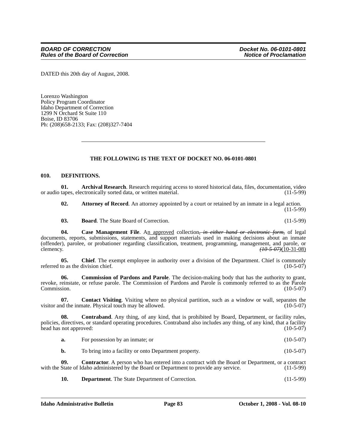DATED this 20th day of August, 2008.

Lorenzo Washington Policy Program Coordinator Idaho Department of Correction 1299 N Orchard St Suite 110 Boise, ID 83706 Ph: (208)658-2133; Fax: (208)327-7404

#### **THE FOLLOWING IS THE TEXT OF DOCKET NO. 06-0101-0801**

#### **010. DEFINITIONS.**

**01.** Archival Research. Research requiring access to stored historical data, files, documentation, video tapes, electronically sorted data, or written material. (11-5-99) or audio tapes, electronically sorted data, or written material.

**02. Attorney of Record**. An attorney appointed by a court or retained by an inmate in a legal action. (11-5-99)

**03. Board**. The State Board of Correction. (11-5-99)

**04. Case Management File**. An approved collection*, in either hand or electronic form,* of legal documents, reports, submissions, statements, and support materials used in making decisions about an inmate (offender), parolee, or probationer regarding classification, treatment, programming, management, and parole, or clemency.  $\frac{(10-5-0.7)(10-31-0.8)}{(10-5.7)(10-31)}$ clemency. *(10-5-07)*(10-31-08)

**05.** Chief. The exempt employee in authority over a division of the Department. Chief is commonly referred to as the division chief. (10-5-07)

**06. Commission of Pardons and Parole**. The decision-making body that has the authority to grant, revoke, reinstate, or refuse parole. The Commission of Pardons and Parole is commonly referred to as the Parole<br>Commission. (10-5-07) Commission. (10-5-07)

**07. Contact Visiting**. Visiting where no physical partition, such as a window or wall, separates the visitor and the inmate. Physical touch may be allowed. (10-5-07)

**08. Contraband**. Any thing, of any kind, that is prohibited by Board, Department, or facility rules, policies, directives, or standard operating procedures. Contraband also includes any thing, of any kind, that a facility head has not approved:  $(10-5-07)$ 

| a. | For possession by an inmate: or | $(10-5-07)$ |
|----|---------------------------------|-------------|
|----|---------------------------------|-------------|

**b.** To bring into a facility or onto Department property. (10-5-07)

**09. Contractor**. A person who has entered into a contract with the Board or Department, or a contract with the State of Idaho administered by the Board or Department to provide any service. (11-5-99)

**10. Department**. The State Department of Correction. (11-5-99)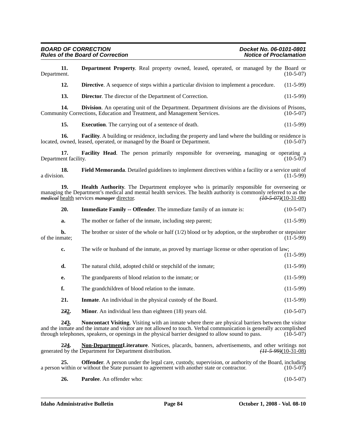| Department.    | 11.                         | Department Property. Real property owned, leased, operated, or managed by the Board or                                                                                                                                                                                                                                                | $(10-5-07)$ |
|----------------|-----------------------------|---------------------------------------------------------------------------------------------------------------------------------------------------------------------------------------------------------------------------------------------------------------------------------------------------------------------------------------|-------------|
|                | 12.                         | Directive. A sequence of steps within a particular division to implement a procedure.                                                                                                                                                                                                                                                 | $(11-5-99)$ |
|                | 13.                         | <b>Director.</b> The director of the Department of Correction.                                                                                                                                                                                                                                                                        | $(11-5-99)$ |
|                | 14.                         | Division. An operating unit of the Department. Department divisions are the divisions of Prisons,<br>Community Corrections, Education and Treatment, and Management Services.                                                                                                                                                         | $(10-5-07)$ |
|                | 15.                         | <b>Execution.</b> The carrying out of a sentence of death.                                                                                                                                                                                                                                                                            | $(11-5-99)$ |
|                | 16.                         | <b>Facility.</b> A building or residence, including the property and land where the building or residence is<br>located, owned, leased, operated, or managed by the Board or Department.                                                                                                                                              | $(10-5-07)$ |
|                | 17.<br>Department facility. | <b>Facility Head.</b> The person primarily responsible for overseeing, managing or operating a                                                                                                                                                                                                                                        | $(10-5-07)$ |
| a division.    | 18.                         | Field Memoranda. Detailed guidelines to implement directives within a facility or a service unit of                                                                                                                                                                                                                                   | $(11-5-99)$ |
|                | 19.                         | Health Authority. The Department employee who is primarily responsible for overseeing or<br>managing the Department's medical and mental health services. The health authority is commonly referred to as the<br><i>medical</i> health services <i>manager</i> director.<br>$(10-5-07)(10-31-08)$                                     |             |
|                | 20.                         | <b>Immediate Family -- Offender</b> . The immediate family of an inmate is:                                                                                                                                                                                                                                                           | $(10-5-07)$ |
|                | a.                          | The mother or father of the inmate, including step parent;                                                                                                                                                                                                                                                                            | $(11-5-99)$ |
| of the inmate; | b.                          | The brother or sister of the whole or half $(1/2)$ blood or by adoption, or the stepbrother or stepsister                                                                                                                                                                                                                             | $(11-5-99)$ |
|                | c.                          | The wife or husband of the inmate, as proved by marriage license or other operation of law;                                                                                                                                                                                                                                           | $(11-5-99)$ |
|                | d.                          | The natural child, adopted child or stepchild of the inmate;                                                                                                                                                                                                                                                                          | $(11-5-99)$ |
|                | e.                          | The grandparents of blood relation to the inmate; or                                                                                                                                                                                                                                                                                  | $(11-5-99)$ |
|                | f.                          | The grandchildren of blood relation to the inmate.                                                                                                                                                                                                                                                                                    | $(11-5-99)$ |
|                | 21.                         | <b>Inmate.</b> An individual in the physical custody of the Board.                                                                                                                                                                                                                                                                    | $(11-5-99)$ |
|                | 232.                        | Minor. An individual less than eighteen (18) years old.                                                                                                                                                                                                                                                                               | $(10-5-07)$ |
|                | 243.                        | <b>Noncontact Visiting.</b> Visiting with an inmate where there are physical barriers between the visitor<br>and the inmate and the inmate and visitor are not allowed to touch. Verbal communication is generally accomplished<br>through telephones, speakers, or openings in the physical barrier designed to allow sound to pass. | $(10-5-07)$ |

224. Non-DepartmentLiterature. Notices, placards, banners, advertisements, and other writings not d by the Department for Department distribution.  $\frac{(H-5-99)(10-31-08)}{(10-11-11)}$ generated by the Department for Department distribution.

**25. Offender**. A person under the legal care, custody, supervision, or authority of the Board, including within or without the State pursuant to agreement with another state or contractor. (10-5-07) a person within or without the State pursuant to agreement with another state or contractor.

**26. Parolee**. An offender who: (10-5-07)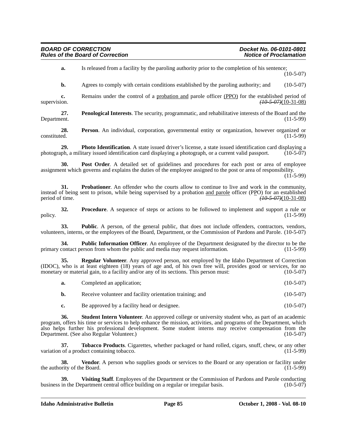| <b>BOARD OF CORRECTION</b>              | Docket No. 06-0101-0801       |
|-----------------------------------------|-------------------------------|
| <b>Rules of the Board of Correction</b> | <b>Notice of Proclamation</b> |

**a.** Is released from a facility by the paroling authority prior to the completion of his sentence; (10-5-07)

**b.** Agrees to comply with certain conditions established by the paroling authority; and (10-5-07)

**c.** Remains under the control of a probation and parole officer (PPO) for the established period of supervision. *(10-5-07)*(10-31-08)

**27. Penological Interests**. The security, programmatic, and rehabilitative interests of the Board and the Department. (11-5-99)

**28.** Person. An individual, corporation, governmental entity or organization, however organized or constituted. (11-5-99) constituted. (11-5-99)

**29. Photo Identification**. A state issued driver's license, a state issued identification card displaying a photograph, or a current valid passport. (10-5-07) photograph, a military issued identification card displaying a photograph, or a current valid passport.

**30. Post Order**. A detailed set of guidelines and procedures for each post or area of employee assignment which governs and explains the duties of the employee assigned to the post or area of responsibility.  $(11 - 5 - 99)$ 

**31. Probationer**. An offender who the courts allow to continue to live and work in the community, instead of being sent to prison, while being supervised by a probation and parole officer (PPO) for an established period of time. *(10-5-07)*(10-31-08)

**32. Procedure**. A sequence of steps or actions to be followed to implement and support a rule or policy. (11-5-99)

**33.** Public. A person, of the general public, that does not include offenders, contractors, vendors, volunteers, interns, or the employees of the Board, Department, or the Commission of Pardons and Parole. (10-5-07)

**34. Public Information Officer**. An employee of the Department designated by the director to be the primary contact person from whom the public and media may request information. (11-5-99)

**35. Regular Volunteer**. Any approved person, not employed by the Idaho Department of Correction (IDOC), who is at least eighteen (18) years of age and, of his own free will, provides good or services, for no monetary or material gain, to a facility and/or any of its sections. This person must: (10-5-07) monetary or material gain, to a facility and/or any of its sections. This person must:

| а. | Completed an application;                                | $(10-5-07)$ |
|----|----------------------------------------------------------|-------------|
| b. | Receive volunteer and facility orientation training; and | $(10-5-07)$ |

**c.** Be approved by a facility head or designee. (10-5-07)

**36. Student Intern Volunteer**. An approved college or university student who, as part of an academic program, offers his time or services to help enhance the mission, activities, and programs of the Department, which also helps further his professional development. Some student interns may receive compensation from the Department. (See also Regular Volunteer.) (10-5-07)

**37. Tobacco Products**. Cigarettes, whether packaged or hand rolled, cigars, snuff, chew, or any other variation of a product containing tobacco. (11-5-99)

**38. Vendor**. A person who supplies goods or services to the Board or any operation or facility under the authority of the Board. (11-5-99)

**39. Visiting Staff**. Employees of the Department or the Commission of Pardons and Parole conducting business in the Department central office building on a regular or irregular basis. (10-5-07)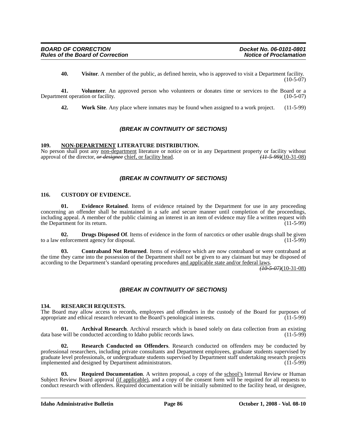**40. Visitor**. A member of the public, as defined herein, who is approved to visit a Department facility.  $(10-5-07)$ 

**41. Volunteer**. An approved person who volunteers or donates time or services to the Board or a Department operation or facility. (10-5-07)

**42. Work Site**. Any place where inmates may be found when assigned to a work project. (11-5-99)

### *(BREAK IN CONTINUITY OF SECTIONS)*

#### **109. NON-DEPARTMENT LITERATURE DISTRIBUTION.**

No person shall post any <u>non-department</u> literature or notice on or in any Department property or facility without approval of the director, or designee chief, or facility head.  $(11.5.99)(10-31-08)$ approval of the director, *or designee* chief, or facility head.

#### *(BREAK IN CONTINUITY OF SECTIONS)*

#### **116. CUSTODY OF EVIDENCE.**

**01. Evidence Retained**. Items of evidence retained by the Department for use in any proceeding concerning an offender shall be maintained in a safe and secure manner until completion of the proceedings, including appeal. A member of the public claiming an interest in an item of evidence may file a written request with the Department for its return.

**02. Drugs Disposed Of**. Items of evidence in the form of narcotics or other usable drugs shall be given to a law enforcement agency for disposal. (11-5-99)

**03. Contraband Not Returned**. Items of evidence which are now contraband or were contraband at the time they came into the possession of the Department shall not be given to any claimant but may be disposed of according to the Department's standard operating procedures and applicable state and/or federal laws.

*(10-5-07)*(10-31-08)

#### *(BREAK IN CONTINUITY OF SECTIONS)*

#### **134. RESEARCH REQUESTS.**

The Board may allow access to records, employees and offenders in the custody of the Board for purposes of appropriate and ethical research relevant to the Board's penological interests. (11-5-99) appropriate and ethical research relevant to the Board's penological interests.

**01. Archival Research**. Archival research which is based solely on data collection from an existing by will be conducted according to Idaho public records laws. data base will be conducted according to Idaho public records laws.

**02. Research Conducted on Offenders**. Research conducted on offenders may be conducted by professional researchers, including private consultants and Department employees, graduate students supervised by graduate level professionals, or undergraduate students supervised by Department staff undertaking research projects implemented and designed by Department administrators. (11-5-99)

**03.** Required Documentation. A written proposal, a copy of the school's Internal Review or Human Subject Review Board approval (if applicable), and a copy of the consent form will be required for all requests to conduct research with offenders. Required documentation will be initially submitted to the facility head, or designee,

#### **Idaho Administrative Bulletin Page 86 Corollary Page 86 Corollary Page 86 Corollary Page 86 Corollary Page 86 Corollary Page 86 Corollary Page 86 Corollary Page 86 Corollary Page 86 Corollary Page 86 Corollary Page 86 Cor**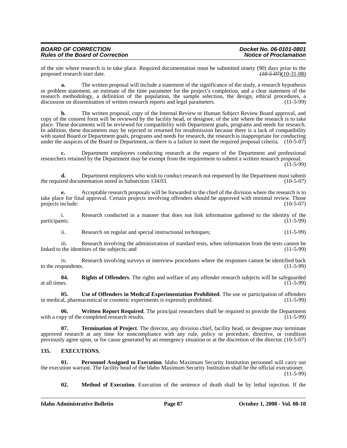| <b>BOARD OF CORRECTION</b>              | Docket No. 06-0101-0801       |
|-----------------------------------------|-------------------------------|
| <b>Rules of the Board of Correction</b> | <b>Notice of Proclamation</b> |

of the site where research is to take place. Required documentation must be submitted ninety (90) days prior to the proposed research start date.  $(40.5.07)(10.31-08)$ proposed research start date.

**a.** The written proposal will include a statement of the significance of the study, a research hypothesis or problem statement, an estimate of the time parameter for the project's completion, and a clear statement of the research methodology, a definition of the population, the sample selection, the design, ethical procedures, a discussion on dissemination of written research reports and legal parameters. (11-5-99) discussion on dissemination of written research reports and legal parameters.

**b.** The written proposal, copy of the Internal Review or Human Subject Review Board approval, and copy of the consent form will be reviewed by the facility head, or designee, of the site where the research is to take place. These documents will be reviewed for compatibility with Department goals, programs and needs for research. In addition, these documents may be rejected or returned for resubmission because there is a lack of compatibility with stated Board or Department goals, programs and needs for research, the research is inappropriate for conducting under the auspices of the Board or Department, or there is a failure to meet the required proposal criteria. (10-5-07)

**c.** Department employees conducting research at the request of the Department and professional researchers retained by the Department may be exempt from the requirement to submit a written research proposal. (11-5-99)

**d.** Department employees who wish to conduct research not requested by the Department must submit the required documentation noted in Subsection 134.03. (10-5-07)

**e.** Acceptable research proposals will be forwarded to the chief of the division where the research is to take place for final approval. Certain projects involving offenders should be approved with minimal review. Those projects include: (10-5-07)

i. Research conducted in a manner that does not link information gathered to the identity of the ints; participants;

ii. Research on regular and special instructional techniques; (11-5-99)

iii. Research involving the administration of standard tests, when information from the tests cannot be linked to the identities of the subjects; and (11-5-99)

iv. Research involving surveys or interview procedures where the responses cannot be identified back to the respondents. (11-5-99)

**04. Rights of Offenders**. The rights and welfare of any offender research subjects will be safeguarded at all times.  $(11-5-99)$ 

**05. Use of Offenders in Medical Experimentation Prohibited**. The use or participation of offenders in medical, pharmaceutical or cosmetic experiments is expressly prohibited. (11-5-99)

**06.** Written Report Required. The principal researchers shall be required to provide the Department ppy of the completed research results. (11-5-99) with a copy of the completed research results.

**07. Termination of Project**. The director, any division chief, facility head, or designee may terminate approved research at any time for noncompliance with any rule, policy or procedure, directive, or condition previously agree upon, or for cause generated by an emergency situation or at the discretion of the director. (10-5-07)

#### **135. EXECUTIONS.**

**01. Personnel Assigned to Execution**. Idaho Maximum Security Institution personnel will carry out the execution warrant. The facility head of the Idaho Maximum Security Institution shall be the official executioner. (11-5-99)

**02. Method of Execution**. Execution of the sentence of death shall be by lethal injection. If the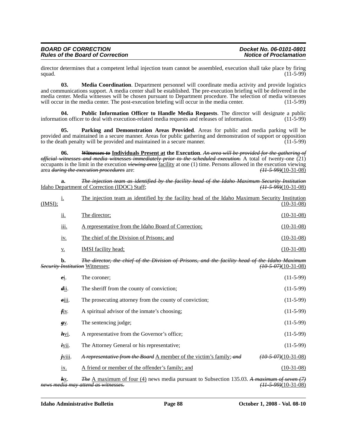| <b>BOARD OF CORRECTION</b>              | Docket No. 06-0101-0801       |
|-----------------------------------------|-------------------------------|
| <b>Rules of the Board of Correction</b> | <b>Notice of Proclamation</b> |

director determines that a competent lethal injection team cannot be assembled, execution shall take place by firing squad. (11-5-99) squad.  $(11-5-99)$ 

**03. Media Coordination**. Department personnel will coordinate media activity and provide logistics and communications support. A media center shall be established. The pre-execution briefing will be delivered in the media center. Media witnesses will be chosen pursuant to Department procedure. The selection of media witnesses will occur in the media center. (11-5-99) will occur in the media center. The post-execution briefing will occur in the media center.

**04. Public Information Officer to Handle Media Requests**. The director will designate a public information officer to deal with execution-related media requests and releases of information. (11-5-99)

**05. Parking and Demonstration Areas Provided**. Areas for public and media parking will be provided and maintained in a secure manner. Areas for public gathering and demonstration of support or opposition to the death penalty will be provided and maintained in a secure manner. (11-5-99)

**06.** *Witnesses to* **Individuals Present at the Execution**. *An area will be provided for the gathering of official witnesses and media witnesses immediately prior to the scheduled execution.* A total of twenty-one (21) occupants is the limit in the execution *viewing area* facility at one (1) time. Persons allowed in the execution viewing area *during the execution procedures* are: *(11-5-99)*(10-31-08)

**a.** *The injection team as identified by the facility head of the Idaho Maximum Security Institution* Idaho Department of Correction (IDOC) Staff;

| (IMSI); |             | The injection team as identified by the facility head of the Idaho Maximum Security Institution | $(10-31-08)$ |
|---------|-------------|-------------------------------------------------------------------------------------------------|--------------|
|         | 11.         | The director:                                                                                   | $(10-31-08)$ |
|         | <u>iii.</u> | A representative from the Idaho Board of Correction;                                            | $(10-31-08)$ |
|         | 1V.         | The chief of the Division of Prisons; and                                                       | $(10-31-08)$ |
|         | <u>v.</u>   | <b>IMSI</b> facility head:                                                                      | $(10-31-08)$ |

**b.** *The director, the chief of the Division of Prisons, and the facility head of the Idaho Maximum Security Institution* Witnesses; *(10-5-07)*(10-31-08)

| ei.               | The coroner:                                                                                      | $(11-5-99)$           |
|-------------------|---------------------------------------------------------------------------------------------------|-----------------------|
| $di$ i.           | The sheriff from the county of conviction;                                                        | $(11-5-99)$           |
| eiii.             | The prosecuting attorney from the county of conviction;                                           | $(11-5-99)$           |
| $f_{\rm IV}$ .    | A spiritual advisor of the inmate's choosing;                                                     | $(11-5-99)$           |
| $g_{y}$           | The sentencing judge;                                                                             | $(11-5-99)$           |
| $h_{\text{VI}}$ . | A representative from the Governor's office;                                                      | $(11-5-99)$           |
| ivii.             | The Attorney General or his representative;                                                       | $(11-5-99)$           |
| $j$ viii.         | A representative from the Board A member of the victim's family; and                              | $(10-5-07)(10-31-08)$ |
| 1X.               | A friend or member of the offender's family; and                                                  | $(10-31-08)$          |
| $kx$ .            | <i>The</i> A maximum of four (4) news media pursuant to Subsection 135.03. A maximum of seven (7) |                       |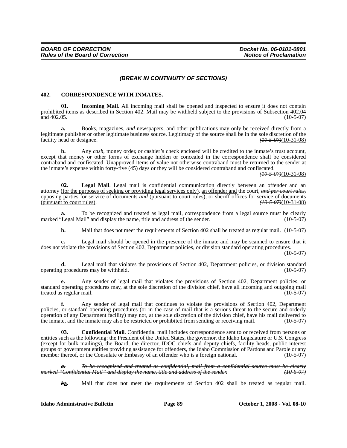#### *(BREAK IN CONTINUITY OF SECTIONS)*

#### **402. CORRESPONDENCE WITH INMATES.**

**01.** Incoming Mail. All incoming mail shall be opened and inspected to ensure it does not contain prohibited items as described in Section 402. Mail may be withheld subject to the provisions of Subsection 402.04 and 402.05. (10-5-07) and  $402.05$ . (10-5-07)

**a.** Books, magazines, *and* newspapers, and other publications may only be received directly from a legitimate publisher or other legitimate business source. Legitimacy of the source shall be in the sole discretion of the facility head or designee. facility head or designee.

**b.** Any *cash*, money order<sub>f</sub> or cashier's check enclosed will be credited to the inmate's trust account, except that money or other forms of exchange hidden or concealed in the correspondence shall be considered contraband and confiscated. Unapproved items of value not otherwise contraband must be returned to the sender at the inmate's expense within forty-five (45) days or they will be considered contraband and confiscated.

*(10-5-07)*(10-31-08)

**02. Legal Mail**. Legal mail is confidential communication directly between an offender and an attorney (for the purposes of seeking or providing legal services only), an offender and the court, *and per court rules,* opposing parties for service of documents *and* (pursuant to court rules), or sheriff offices for service of documents (pursuant to court rules). (*10-5-07*)(10-31-08) (pursuant to court rules).

**a.** To be recognized and treated as legal mail, correspondence from a legal source must be clearly marked "Legal Mail" and display the name, title and address of the sender. (10-5-07)

**b.** Mail that does not meet the requirements of Section 402 shall be treated as regular mail. (10-5-07)

**c.** Legal mail should be opened in the presence of the inmate and may be scanned to ensure that it does not violate the provisions of Section 402, Department policies, or division standard operating procedures.

 $(10-5-07)$ 

**d.** Legal mail that violates the provisions of Section 402, Department policies, or division standard g procedures may be withheld. (10-5-07) operating procedures may be withheld.

**e.** Any sender of legal mail that violates the provisions of Section 402, Department policies, or standard operating procedures may, at the sole discretion of the division chief, have all incoming and outgoing mail treated as regular mail. (10-5-07) (10-5-07)

**f.** Any sender of legal mail that continues to violate the provisions of Section 402, Department policies, or standard operating procedures (or in the case of mail that is a serious threat to the secure and orderly operation of any Department facility) may not, at the sole discretion of the division chief, have his mail delivered to the inmate, and the inmate may also be restricted or prohibited from sending or receiving mail.

**03. Confidential Mail**. Confidential mail includes correspondence sent to or received from persons or entities such as the following: the President of the United States, the governor, the Idaho Legislature or U.S. Congress (except for bulk mailings), the Board, the director, IDOC chiefs and deputy chiefs, facility heads, public interest groups or government entities providing assistance for offenders, the Idaho Commission of Pardons and Parole or any member thereof, or the Consulate or Embassy of an offender who is a foreign national. (10-5-07)

*a. To be recognized and treated as confidential, mail from a confidential source must be clearly marked "Confidential Mail" and display the name, title and address of the sender. (10-5-07)*

**ba.** Mail that does not meet the requirements of Section 402 shall be treated as regular mail.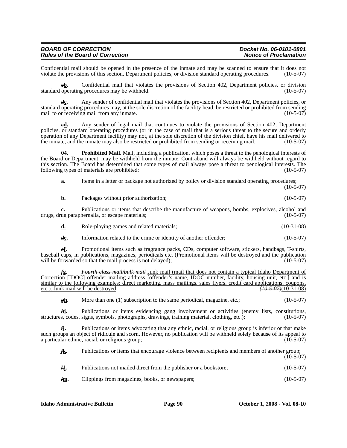| <b>BOARD OF CORRECTION</b>              | Docket No. 06-0101-0801       |
|-----------------------------------------|-------------------------------|
| <b>Rules of the Board of Correction</b> | <b>Notice of Proclamation</b> |

Confidential mail should be opened in the presence of the inmate and may be scanned to ensure that it does not violate the provisions of this section, Department policies, or division standard operating procedures. (10-5-0 violate the provisions of this section, Department policies, or division standard operating procedures.

*c***b.** Confidential mail that violates the provisions of Section 402, Department policies, or division standard operating procedures may be withheld. (10-5-07)

*d***c.** Any sender of confidential mail that violates the provisions of Section 402, Department policies, or standard operating procedures may, at the sole discretion of the facility head, be restricted or prohibited from sending mail to or receiving mail from any inmate. (10-5-07)

*e***d.** Any sender of legal mail that continues to violate the provisions of Section 402, Department policies, or standard operating procedures (or in the case of mail that is a serious threat to the secure and orderly operation of any Department facility) may not, at the sole discretion of the division chief, have his mail delivered to the inmate, and the inmate may also be restricted or prohibited from sending or receiving mail. (10-5-07)

**04. Prohibited Mail**. Mail, including a publication, which poses a threat to the penological interests of the Board or Department, may be withheld from the inmate. Contraband will always be withheld without regard to this section. The Board has determined that some types of mail always pose a threat to penological interests. The following types of materials are prohibited: (10-5-07)

| a. | Items in a letter or package not authorized by policy or division standard operating procedures;                                                  | $(10-5-07)$ |
|----|---------------------------------------------------------------------------------------------------------------------------------------------------|-------------|
| b. | Packages without prior authorization;                                                                                                             | $(10-5-07)$ |
|    | Publications or items that describe the manufacture of weapons, bombs, explosives, alcohol and<br>drugs, drug paraphernalia, or escape materials; | $(10-5-07)$ |

**d.** Role-playing games and related materials; (10-31-08)

*d***e.** Information related to the crime or identity of another offender; (10-5-07)

*e***f.** Promotional items such as fragrance packs, CDs, computer software, stickers, handbags, T-shirts, baseball caps, in publications, magazines, periodicals etc. (Promotional items will be destroyed and the publication will be forwarded so that the mail process is not delayed);

*f***g.** *Fourth class mail/bulk mail* Junk mail (mail that does not contain a typical Idaho Department of Correction [IDOC] offender mailing address [offender's name, IDOC number, facility, housing unit, etc.] and is similar to the following examples: direct marketing, mass mailings, sales flyers, credit card applications, coupons, etc.). Junk mail will be destroyed;<br>( $\overline{(10-5.07)(10.31.08)}$ ) etc.). Junk mail will be destroyed;

*g***h.** More than one (1) subscription to the same periodical, magazine, etc.; (10-5-07)

**h<sub>i</sub>.** Publications or items evidencing gang involvement or activities (enemy lists, constitutions, structures, codes, signs, symbols, photographs, drawings, training material, clothing, etc.); (10-5-07)

*i***j.** Publications or items advocating that any ethnic, racial, or religious group is inferior or that make such groups an object of ridicule and scorn. However, no publication will be withheld solely because of its appeal to a particular ethnic, racial, or religious group; (10-5-07) a particular ethnic, racial, or religious group;

| jk. | Publications or items that encourage violence between recipients and members of another group; | $(10-5-07)$ |
|-----|------------------------------------------------------------------------------------------------|-------------|
| kl. | Publications not mailed direct from the publisher or a bookstore;                              | $(10-5-07)$ |
| lm. | Clippings from magazines, books, or newspapers;                                                | $(10-5-07)$ |